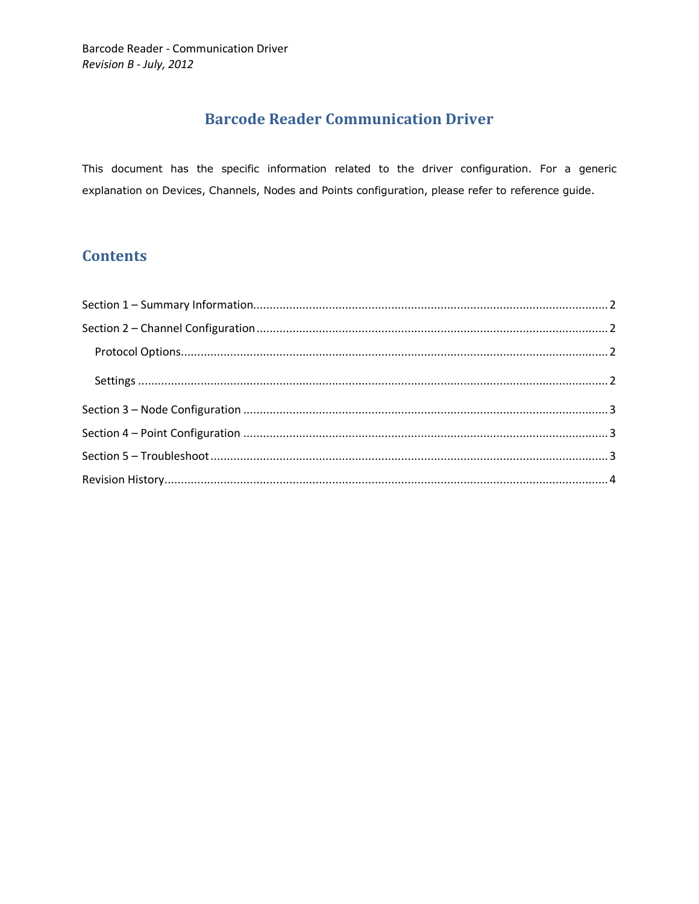## **Barcode Reader Communication Driver**

This document has the specific information related to the driver configuration. For a generic explanation on Devices, Channels, Nodes and Points configuration, please refer to reference guide.

## **Contents**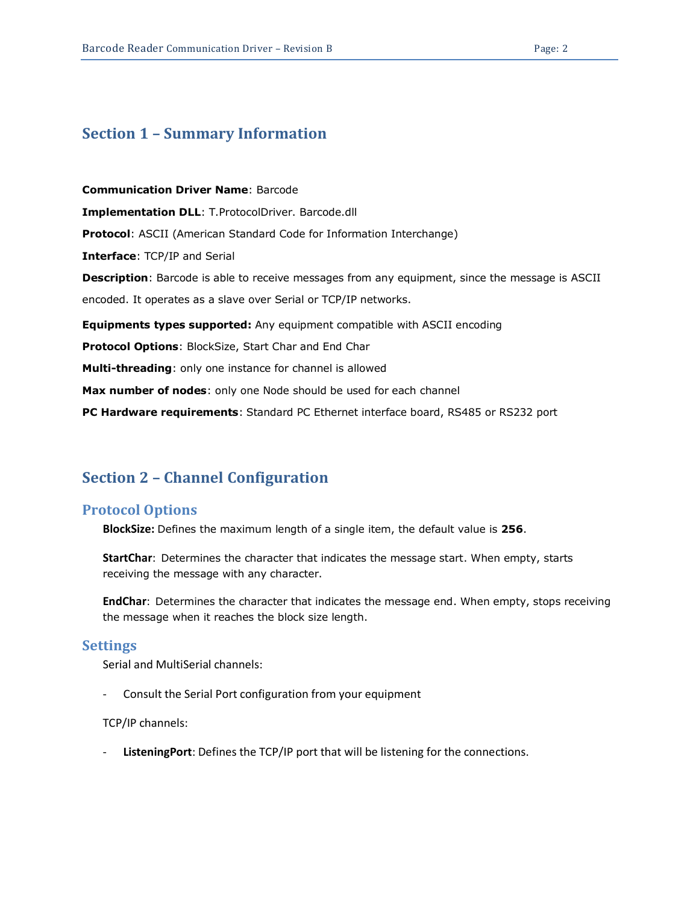## <span id="page-1-0"></span>**Section 1 – Summary Information**

**Communication Driver Name**: Barcode **Implementation DLL**: T.ProtocolDriver. Barcode.dll **Protocol**: ASCII (American Standard Code for Information Interchange) **Interface**: TCP/IP and Serial **Description**: Barcode is able to receive messages from any equipment, since the message is ASCII encoded. It operates as a slave over Serial or TCP/IP networks. **Equipments types supported:** Any equipment compatible with ASCII encoding **Protocol Options**: BlockSize, Start Char and End Char **Multi-threading**: only one instance for channel is allowed **Max number of nodes**: only one Node should be used for each channel **PC Hardware requirements**: Standard PC Ethernet interface board, RS485 or RS232 port

## <span id="page-1-1"></span>**Section 2 – Channel Configuration**

### <span id="page-1-2"></span>**Protocol Options**

**BlockSize:** Defines the maximum length of a single item, the default value is **256**.

**StartChar**: Determines the character that indicates the message start. When empty, starts receiving the message with any character.

**EndChar**: Determines the character that indicates the message end. When empty, stops receiving the message when it reaches the block size length.

#### <span id="page-1-3"></span>**Settings**

Serial and MultiSerial channels:

- Consult the Serial Port configuration from your equipment

#### TCP/IP channels:

ListeningPort: Defines the TCP/IP port that will be listening for the connections.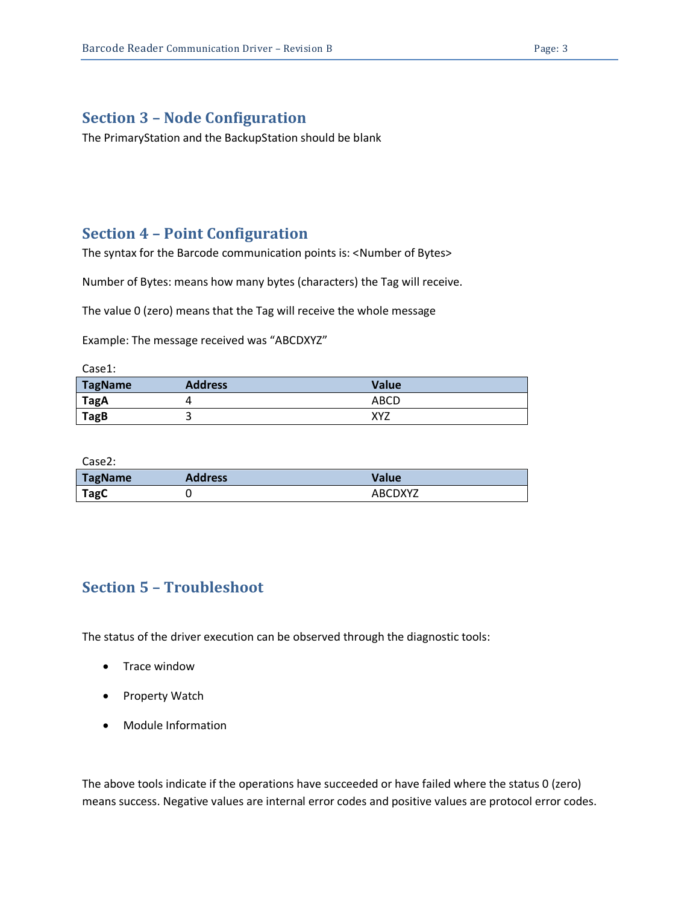## <span id="page-2-0"></span>**Section 3 – Node Configuration**

The PrimaryStation and the BackupStation should be blank

## <span id="page-2-1"></span>**Section 4 – Point Configuration**

The syntax for the Barcode communication points is: <Number of Bytes>

Number of Bytes: means how many bytes (characters) the Tag will receive.

The value 0 (zero) means that the Tag will receive the whole message

Example: The message received was "ABCDXYZ"

| Case1:         |                |       |
|----------------|----------------|-------|
| <b>TagName</b> | <b>Address</b> | Value |
| TagA           |                | ABCD  |
| <b>TagB</b>    |                | XYZ   |

Case2:

| <b>TagName</b> | <b>Address</b> | Value   |
|----------------|----------------|---------|
| TagC           |                | ABCDXYZ |

## <span id="page-2-2"></span>**Section 5 – Troubleshoot**

The status of the driver execution can be observed through the diagnostic tools:

- Trace window
- Property Watch
- Module Information

The above tools indicate if the operations have succeeded or have failed where the status 0 (zero) means success. Negative values are internal error codes and positive values are protocol error codes.